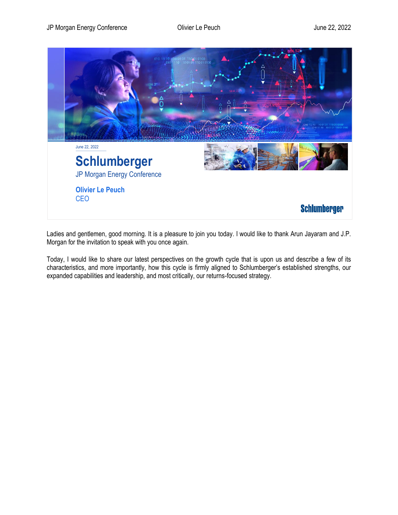

Ladies and gentlemen, good morning. It is a pleasure to join you today. I would like to thank Arun Jayaram and J.P. Morgan for the invitation to speak with you once again.

Today, I would like to share our latest perspectives on the growth cycle that is upon us and describe a few of its characteristics, and more importantly, how this cycle is firmly aligned to Schlumberger's established strengths, our expanded capabilities and leadership, and most critically, our returns-focused strategy.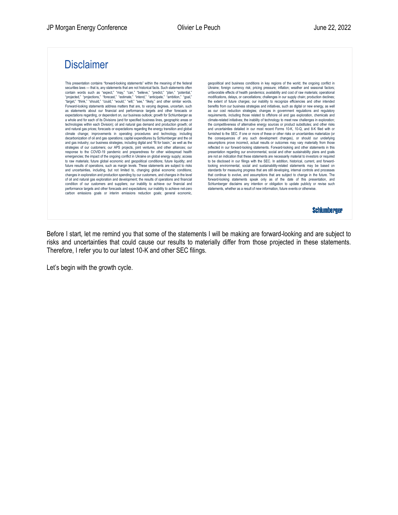## **Disclaimer**

This presentation contains "forward-looking statements" within the meaning of the federal securities laws — that is, any statements that are not historical facts. Such statements often contain words such as "expect," "may," "can," "believe," "predict," "plan," "potential,"<br>"projected," "projections," "forecast," "estimate," "intend," "anticipate," "ambition," "goal"<br>"target," "think," "should," "could," Forward-looking statements address matters that are, to varying degrees, uncertain, such as statements about our financial and performance targets and other forecasts or expectations regarding, or dependent on, our business outlook; growth for Schlumberger as a whole and for each of its Divisions (and for specified business lines, geographic areas or technologies within each Division); oil and natural gas demand and production growth; oil and natural gas prices; forecasts or expectations regarding the energy transition and global climate change; improvements in operating procedures and technology, including decarbonization of oil and gas operations; capital expenditures by Schlumberger and the oil and gas industry; our business strategies, including digital and "fit for basin," as well as the strategies of our customers; our APS projects, joint ventures, and other alliances; our response to the COVID-19 pandemic and preparedness for other widespread health emergencies; the impact of the ongoing conflict in Ukraine on global energy supply; access to raw materials; future global economic and geopolitical conditions; future liquidity; and future results of operations, such as margin levels. These statements are subject to risks and uncertainties, including, but not limited to, changing global economic conditions; changes in exploration and production spending by our customers, and changes in the level of oil and natural gas exploration and development; the results of operations and financial condition of our customers and suppliers; our inability to achieve our financial and performance targets and other forecasts and expectations; our inability to achieve net-zero carbon emissions goals or interim emissions reduction goals; general economic,

geopolitical and business conditions in key regions of the world; the ongoing conflict in Ukraine; foreign currency risk; pricing pressure; inflation; weather and seasonal factors; unfavorable effects of health pandemics; availability and cost of raw materials; operational modifications, delays, or cancellations; challenges in our supply chain; production declines; geopolitical and business conditions in key regions of the world; the ongoing conflict in<br>Ukraine; foreign currency risk; pricing pressure; inflation; weather and seasonal factors;<br>undivorable effects of health pandemics; benefits from our business strategies and initiatives, such as digital or new energy, as well as our cost reduction strategies; changes in government regulations and regulatory requirements, including those related to offshore oil and gas exploration, chemicals and the extent of tuture charges; our inability to recognize efficiencies and other intended<br>benefits from our business strategies and initiatives, such as digital or new energy, as well<br>as our cost reduction strategies; chang the competitiveness of alternative energy sources or product substitutes; and other risks and uncertainties detailed in our most recent Forms 10-K, 10-Q, and 8-K filed with or furnished to the SEC. If one or more of these or other risks or uncertainties materialize (or the consequences of any such development changes), or should our underlying assumptions prove incorrect, actual results or outcomes may vary materially from those reflected in our forward-looking statements. Forward-looking and other statements in this presentation regarding our environmental, social and other sustainability plans and goals are not an indication that these statements are necessarily material to investors or required to be disclosed in our filings with the SEC. In addition, historical, current, and forwardlooking environmental, social and sustainability-related statements may be based on standards for measuring progress that are still developing, internal controls and processes that continue to evolve, and assumptions that are subject to change in the future. The forward-looking statements speak only as of the date of this presentation, and Schlumberger disclaims any intention or obligation to update publicly or revise such statements, whether as a result of new information, future events or otherwise

**Schlumberger** 

Before I start, let me remind you that some of the statements I will be making are forward-looking and are subject to risks and uncertainties that could cause our results to materially differ from those projected in these statements. Therefore, I refer you to our latest 10-K and other SEC filings.

Let's begin with the growth cycle.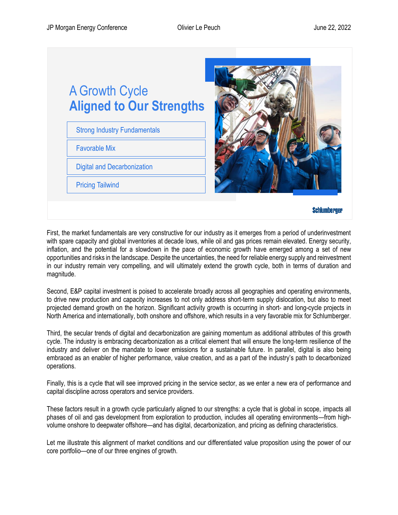

First, the market fundamentals are very constructive for our industry as it emerges from a period of underinvestment with spare capacity and global inventories at decade lows, while oil and gas prices remain elevated. Energy security, inflation, and the potential for a slowdown in the pace of economic growth have emerged among a set of new opportunities and risks in the landscape. Despite the uncertainties, the need for reliable energy supply and reinvestment in our industry remain very compelling, and will ultimately extend the growth cycle, both in terms of duration and magnitude.

Second, E&P capital investment is poised to accelerate broadly across all geographies and operating environments, to drive new production and capacity increases to not only address short-term supply dislocation, but also to meet projected demand growth on the horizon. Significant activity growth is occurring in short- and long-cycle projects in North America and internationally, both onshore and offshore, which results in a very favorable mix for Schlumberger.

Third, the secular trends of digital and decarbonization are gaining momentum as additional attributes of this growth cycle. The industry is embracing decarbonization as a critical element that will ensure the long-term resilience of the industry and deliver on the mandate to lower emissions for a sustainable future. In parallel, digital is also being embraced as an enabler of higher performance, value creation, and as a part of the industry's path to decarbonized operations.

Finally, this is a cycle that will see improved pricing in the service sector, as we enter a new era of performance and capital discipline across operators and service providers.

These factors result in a growth cycle particularly aligned to our strengths: a cycle that is global in scope, impacts all phases of oil and gas development from exploration to production, includes all operating environments—from highvolume onshore to deepwater offshore—and has digital, decarbonization, and pricing as defining characteristics.

Let me illustrate this alignment of market conditions and our differentiated value proposition using the power of our core portfolio—one of our three engines of growth.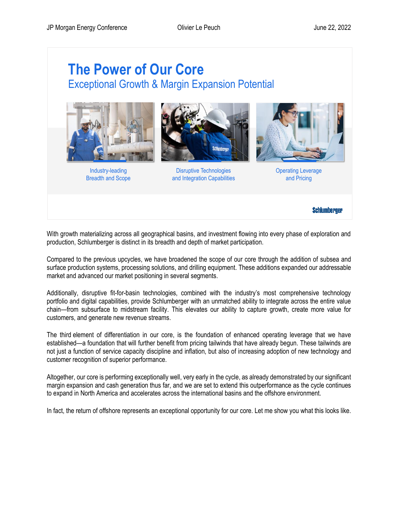## **The Power of Our Core** Exceptional Growth & Margin Expansion Potential



Industry-leading Breadth and Scope



Disruptive Technologies and Integration Capabilities



Operating Leverage and Pricing

**Schlumberger** 

With growth materializing across all geographical basins, and investment flowing into every phase of exploration and production, Schlumberger is distinct in its breadth and depth of market participation.

Compared to the previous upcycles, we have broadened the scope of our core through the addition of subsea and surface production systems, processing solutions, and drilling equipment. These additions expanded our addressable market and advanced our market positioning in several segments.

Additionally, disruptive fit-for-basin technologies, combined with the industry's most comprehensive technology portfolio and digital capabilities, provide Schlumberger with an unmatched ability to integrate across the entire value chain—from subsurface to midstream facility. This elevates our ability to capture growth, create more value for customers, and generate new revenue streams.

The third element of differentiation in our core, is the foundation of enhanced operating leverage that we have established—a foundation that will further benefit from pricing tailwinds that have already begun. These tailwinds are not just a function of service capacity discipline and inflation, but also of increasing adoption of new technology and customer recognition of superior performance.

Altogether, our core is performing exceptionally well, very early in the cycle, as already demonstrated by our significant margin expansion and cash generation thus far, and we are set to extend this outperformance as the cycle continues to expand in North America and accelerates across the international basins and the offshore environment.

In fact, the return of offshore represents an exceptional opportunity for our core. Let me show you what this looks like.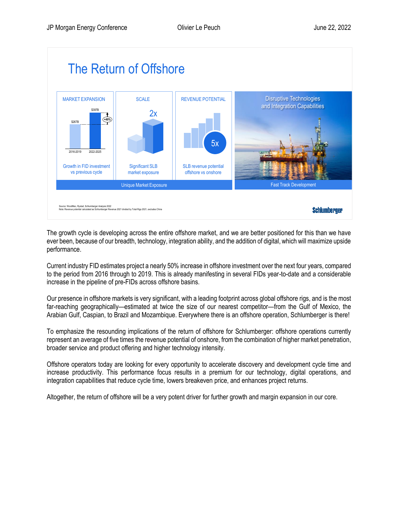

The growth cycle is developing across the entire offshore market, and we are better positioned for this than we have ever been, because of our breadth, technology, integration ability, and the addition of digital, which will maximize upside performance.

Current industry FID estimates project a nearly 50% increase in offshore investment over the next four years, compared to the period from 2016 through to 2019. This is already manifesting in several FIDs year-to-date and a considerable increase in the pipeline of pre-FIDs across offshore basins.

Our presence in offshore markets is very significant, with a leading footprint across global offshore rigs, and is the most far-reaching geographically—estimated at twice the size of our nearest competitor—from the Gulf of Mexico, the Arabian Gulf, Caspian, to Brazil and Mozambique. Everywhere there is an offshore operation, Schlumberger is there!

To emphasize the resounding implications of the return of offshore for Schlumberger: offshore operations currently represent an average of five times the revenue potential of onshore, from the combination of higher market penetration, broader service and product offering and higher technology intensity.

Offshore operators today are looking for every opportunity to accelerate discovery and development cycle time and increase productivity. This performance focus results in a premium for our technology, digital operations, and integration capabilities that reduce cycle time, lowers breakeven price, and enhances project returns.

Altogether, the return of offshore will be a very potent driver for further growth and margin expansion in our core.